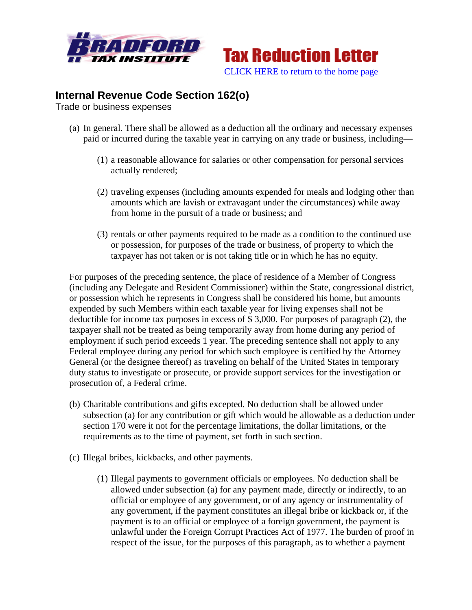



## **Internal Revenue Code Section 162(o)**

Trade or business expenses

- (a) In general. There shall be allowed as a deduction all the ordinary and necessary expenses paid or incurred during the taxable year in carrying on any trade or business, including—
	- (1) a reasonable allowance for salaries or other compensation for personal services actually rendered;
	- (2) traveling expenses (including amounts expended for meals and lodging other than amounts which are lavish or extravagant under the circumstances) while away from home in the pursuit of a trade or business; and
	- (3) rentals or other payments required to be made as a condition to the continued use or possession, for purposes of the trade or business, of property to which the taxpayer has not taken or is not taking title or in which he has no equity.

For purposes of the preceding sentence, the place of residence of a Member of Congress (including any Delegate and Resident Commissioner) within the State, congressional district, or possession which he represents in Congress shall be considered his home, but amounts expended by such Members within each taxable year for living expenses shall not be deductible for income tax purposes in excess of \$ 3,000. For purposes of paragraph (2), the taxpayer shall not be treated as being temporarily away from home during any period of employment if such period exceeds 1 year. The preceding sentence shall not apply to any Federal employee during any period for which such employee is certified by the Attorney General (or the designee thereof) as traveling on behalf of the United States in temporary duty status to investigate or prosecute, or provide support services for the investigation or prosecution of, a Federal crime.

- (b) Charitable contributions and gifts excepted. No deduction shall be allowed under subsection (a) for any contribution or gift which would be allowable as a deduction under section 170 were it not for the percentage limitations, the dollar limitations, or the requirements as to the time of payment, set forth in such section.
- (c) Illegal bribes, kickbacks, and other payments.
	- (1) Illegal payments to government officials or employees. No deduction shall be allowed under subsection (a) for any payment made, directly or indirectly, to an official or employee of any government, or of any agency or instrumentality of any government, if the payment constitutes an illegal bribe or kickback or, if the payment is to an official or employee of a foreign government, the payment is unlawful under the Foreign Corrupt Practices Act of 1977. The burden of proof in respect of the issue, for the purposes of this paragraph, as to whether a payment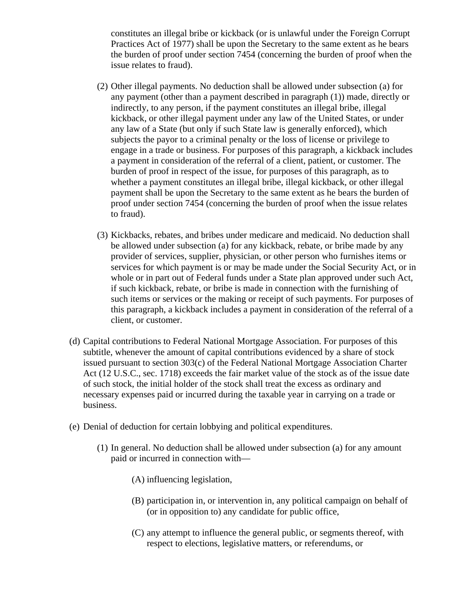constitutes an illegal bribe or kickback (or is unlawful under the Foreign Corrupt Practices Act of 1977) shall be upon the Secretary to the same extent as he bears the burden of proof under section 7454 (concerning the burden of proof when the issue relates to fraud).

- (2) Other illegal payments. No deduction shall be allowed under subsection (a) for any payment (other than a payment described in paragraph (1)) made, directly or indirectly, to any person, if the payment constitutes an illegal bribe, illegal kickback, or other illegal payment under any law of the United States, or under any law of a State (but only if such State law is generally enforced), which subjects the payor to a criminal penalty or the loss of license or privilege to engage in a trade or business. For purposes of this paragraph, a kickback includes a payment in consideration of the referral of a client, patient, or customer. The burden of proof in respect of the issue, for purposes of this paragraph, as to whether a payment constitutes an illegal bribe, illegal kickback, or other illegal payment shall be upon the Secretary to the same extent as he bears the burden of proof under section 7454 (concerning the burden of proof when the issue relates to fraud).
- (3) Kickbacks, rebates, and bribes under medicare and medicaid. No deduction shall be allowed under subsection (a) for any kickback, rebate, or bribe made by any provider of services, supplier, physician, or other person who furnishes items or services for which payment is or may be made under the Social Security Act, or in whole or in part out of Federal funds under a State plan approved under such Act, if such kickback, rebate, or bribe is made in connection with the furnishing of such items or services or the making or receipt of such payments. For purposes of this paragraph, a kickback includes a payment in consideration of the referral of a client, or customer.
- (d) Capital contributions to Federal National Mortgage Association. For purposes of this subtitle, whenever the amount of capital contributions evidenced by a share of stock issued pursuant to section 303(c) of the Federal National Mortgage Association Charter Act (12 U.S.C., sec. 1718) exceeds the fair market value of the stock as of the issue date of such stock, the initial holder of the stock shall treat the excess as ordinary and necessary expenses paid or incurred during the taxable year in carrying on a trade or business.
- (e) Denial of deduction for certain lobbying and political expenditures.
	- (1) In general. No deduction shall be allowed under subsection (a) for any amount paid or incurred in connection with—
		- (A) influencing legislation,
		- (B) participation in, or intervention in, any political campaign on behalf of (or in opposition to) any candidate for public office,
		- (C) any attempt to influence the general public, or segments thereof, with respect to elections, legislative matters, or referendums, or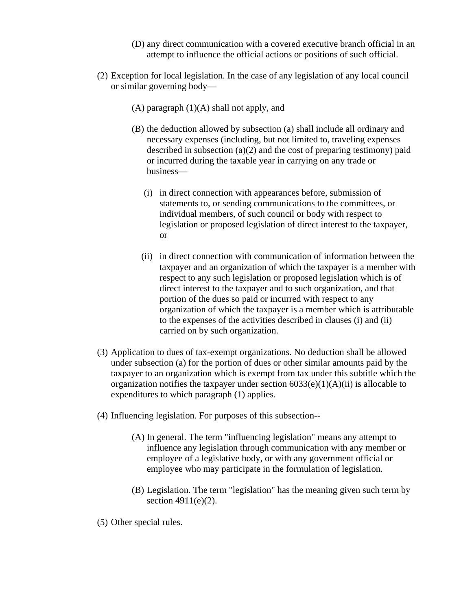- (D) any direct communication with a covered executive branch official in an attempt to influence the official actions or positions of such official.
- (2) Exception for local legislation. In the case of any legislation of any local council or similar governing body—
	- (A) paragraph (1)(A) shall not apply, and
	- (B) the deduction allowed by subsection (a) shall include all ordinary and necessary expenses (including, but not limited to, traveling expenses described in subsection  $(a)(2)$  and the cost of preparing testimony) paid or incurred during the taxable year in carrying on any trade or business—
		- (i) in direct connection with appearances before, submission of statements to, or sending communications to the committees, or individual members, of such council or body with respect to legislation or proposed legislation of direct interest to the taxpayer, or
		- (ii) in direct connection with communication of information between the taxpayer and an organization of which the taxpayer is a member with respect to any such legislation or proposed legislation which is of direct interest to the taxpayer and to such organization, and that portion of the dues so paid or incurred with respect to any organization of which the taxpayer is a member which is attributable to the expenses of the activities described in clauses (i) and (ii) carried on by such organization.
- (3) Application to dues of tax-exempt organizations. No deduction shall be allowed under subsection (a) for the portion of dues or other similar amounts paid by the taxpayer to an organization which is exempt from tax under this subtitle which the organization notifies the taxpayer under section  $6033(e)(1)(A)(ii)$  is allocable to expenditures to which paragraph (1) applies.
- (4) Influencing legislation. For purposes of this subsection--
	- (A) In general. The term "influencing legislation" means any attempt to influence any legislation through communication with any member or employee of a legislative body, or with any government official or employee who may participate in the formulation of legislation.
	- (B) Legislation. The term "legislation" has the meaning given such term by section 4911(e)(2).
- (5) Other special rules.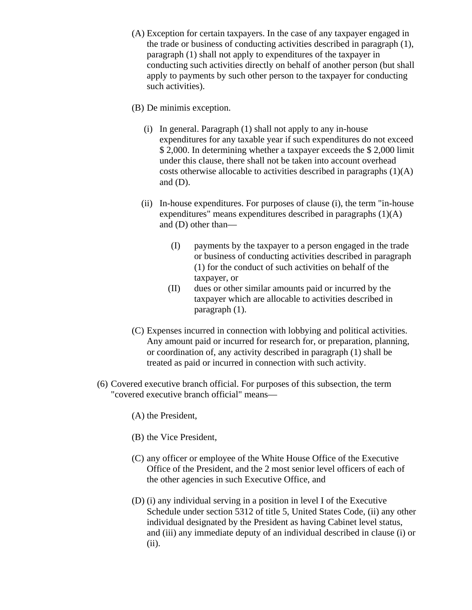- (A) Exception for certain taxpayers. In the case of any taxpayer engaged in the trade or business of conducting activities described in paragraph (1), paragraph (1) shall not apply to expenditures of the taxpayer in conducting such activities directly on behalf of another person (but shall apply to payments by such other person to the taxpayer for conducting such activities).
- (B) De minimis exception.
	- (i) In general. Paragraph (1) shall not apply to any in-house expenditures for any taxable year if such expenditures do not exceed \$ 2,000. In determining whether a taxpayer exceeds the \$ 2,000 limit under this clause, there shall not be taken into account overhead costs otherwise allocable to activities described in paragraphs (1)(A) and  $(D)$ .
	- (ii) In-house expenditures. For purposes of clause (i), the term "in-house expenditures" means expenditures described in paragraphs (1)(A) and (D) other than—
		- (I) payments by the taxpayer to a person engaged in the trade or business of conducting activities described in paragraph (1) for the conduct of such activities on behalf of the taxpayer, or
		- (II) dues or other similar amounts paid or incurred by the taxpayer which are allocable to activities described in paragraph (1).
- (C) Expenses incurred in connection with lobbying and political activities. Any amount paid or incurred for research for, or preparation, planning, or coordination of, any activity described in paragraph (1) shall be treated as paid or incurred in connection with such activity.
- (6) Covered executive branch official. For purposes of this subsection, the term "covered executive branch official" means—
	- (A) the President,
	- (B) the Vice President,
	- (C) any officer or employee of the White House Office of the Executive Office of the President, and the 2 most senior level officers of each of the other agencies in such Executive Office, and
	- (D) (i) any individual serving in a position in level I of the Executive Schedule under section 5312 of title 5, United States Code, (ii) any other individual designated by the President as having Cabinet level status, and (iii) any immediate deputy of an individual described in clause (i) or (ii).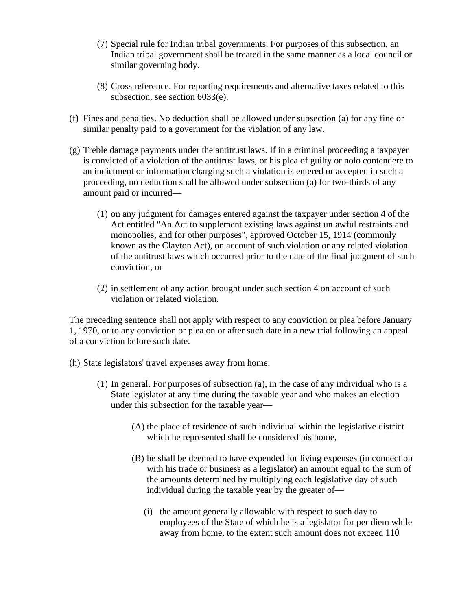- (7) Special rule for Indian tribal governments. For purposes of this subsection, an Indian tribal government shall be treated in the same manner as a local council or similar governing body.
- (8) Cross reference. For reporting requirements and alternative taxes related to this subsection, see section 6033(e).
- (f) Fines and penalties. No deduction shall be allowed under subsection (a) for any fine or similar penalty paid to a government for the violation of any law.
- (g) Treble damage payments under the antitrust laws. If in a criminal proceeding a taxpayer is convicted of a violation of the antitrust laws, or his plea of guilty or nolo contendere to an indictment or information charging such a violation is entered or accepted in such a proceeding, no deduction shall be allowed under subsection (a) for two-thirds of any amount paid or incurred—
	- (1) on any judgment for damages entered against the taxpayer under section 4 of the Act entitled "An Act to supplement existing laws against unlawful restraints and monopolies, and for other purposes", approved October 15, 1914 (commonly known as the Clayton Act), on account of such violation or any related violation of the antitrust laws which occurred prior to the date of the final judgment of such conviction, or
	- (2) in settlement of any action brought under such section 4 on account of such violation or related violation.

The preceding sentence shall not apply with respect to any conviction or plea before January 1, 1970, or to any conviction or plea on or after such date in a new trial following an appeal of a conviction before such date.

(h) State legislators' travel expenses away from home.

- (1) In general. For purposes of subsection (a), in the case of any individual who is a State legislator at any time during the taxable year and who makes an election under this subsection for the taxable year—
	- (A) the place of residence of such individual within the legislative district which he represented shall be considered his home,
	- (B) he shall be deemed to have expended for living expenses (in connection with his trade or business as a legislator) an amount equal to the sum of the amounts determined by multiplying each legislative day of such individual during the taxable year by the greater of—
		- (i) the amount generally allowable with respect to such day to employees of the State of which he is a legislator for per diem while away from home, to the extent such amount does not exceed 110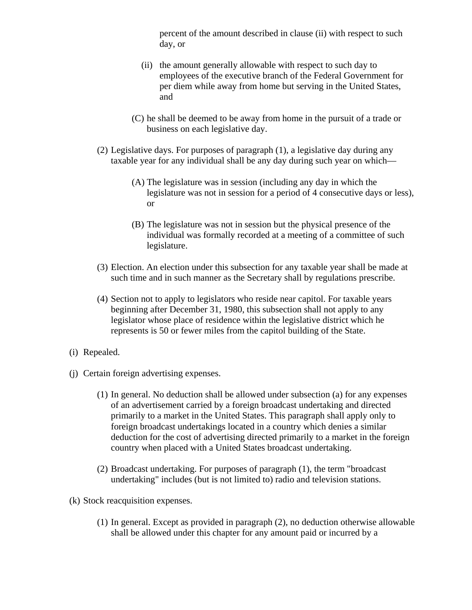percent of the amount described in clause (ii) with respect to such day, or

- (ii) the amount generally allowable with respect to such day to employees of the executive branch of the Federal Government for per diem while away from home but serving in the United States, and
- (C) he shall be deemed to be away from home in the pursuit of a trade or business on each legislative day.
- (2) Legislative days. For purposes of paragraph (1), a legislative day during any taxable year for any individual shall be any day during such year on which—
	- (A) The legislature was in session (including any day in which the legislature was not in session for a period of 4 consecutive days or less), or
	- (B) The legislature was not in session but the physical presence of the individual was formally recorded at a meeting of a committee of such legislature.
- (3) Election. An election under this subsection for any taxable year shall be made at such time and in such manner as the Secretary shall by regulations prescribe.
- (4) Section not to apply to legislators who reside near capitol. For taxable years beginning after December 31, 1980, this subsection shall not apply to any legislator whose place of residence within the legislative district which he represents is 50 or fewer miles from the capitol building of the State.
- (i) Repealed.
- (j) Certain foreign advertising expenses.
	- (1) In general. No deduction shall be allowed under subsection (a) for any expenses of an advertisement carried by a foreign broadcast undertaking and directed primarily to a market in the United States. This paragraph shall apply only to foreign broadcast undertakings located in a country which denies a similar deduction for the cost of advertising directed primarily to a market in the foreign country when placed with a United States broadcast undertaking.
	- (2) Broadcast undertaking. For purposes of paragraph (1), the term "broadcast undertaking" includes (but is not limited to) radio and television stations.
- (k) Stock reacquisition expenses.
	- (1) In general. Except as provided in paragraph (2), no deduction otherwise allowable shall be allowed under this chapter for any amount paid or incurred by a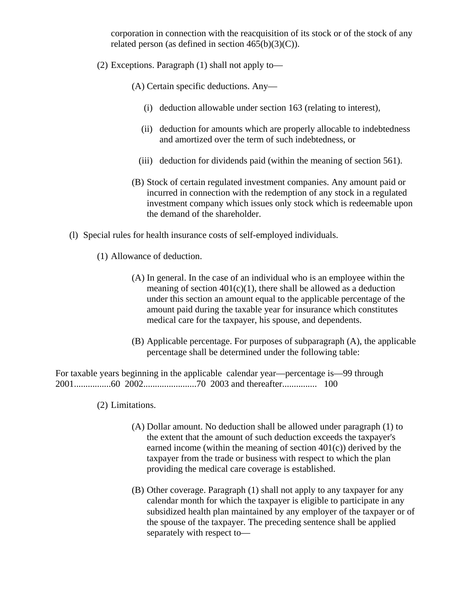corporation in connection with the reacquisition of its stock or of the stock of any related person (as defined in section  $465(b)(3)(C)$ ).

(2) Exceptions. Paragraph (1) shall not apply to—

(A) Certain specific deductions. Any—

- (i) deduction allowable under section 163 (relating to interest),
- (ii) deduction for amounts which are properly allocable to indebtedness and amortized over the term of such indebtedness, or
- (iii) deduction for dividends paid (within the meaning of section 561).
- (B) Stock of certain regulated investment companies. Any amount paid or incurred in connection with the redemption of any stock in a regulated investment company which issues only stock which is redeemable upon the demand of the shareholder.
- (l) Special rules for health insurance costs of self-employed individuals.
	- (1) Allowance of deduction.
		- (A) In general. In the case of an individual who is an employee within the meaning of section  $401(c)(1)$ , there shall be allowed as a deduction under this section an amount equal to the applicable percentage of the amount paid during the taxable year for insurance which constitutes medical care for the taxpayer, his spouse, and dependents.
		- (B) Applicable percentage. For purposes of subparagraph (A), the applicable percentage shall be determined under the following table:

For taxable years beginning in the applicable calendar year—percentage is—99 through 2001................60 2002.......................70 2003 and thereafter............... 100

- (2) Limitations.
	- (A) Dollar amount. No deduction shall be allowed under paragraph (1) to the extent that the amount of such deduction exceeds the taxpayer's earned income (within the meaning of section 401(c)) derived by the taxpayer from the trade or business with respect to which the plan providing the medical care coverage is established.
	- (B) Other coverage. Paragraph (1) shall not apply to any taxpayer for any calendar month for which the taxpayer is eligible to participate in any subsidized health plan maintained by any employer of the taxpayer or of the spouse of the taxpayer. The preceding sentence shall be applied separately with respect to—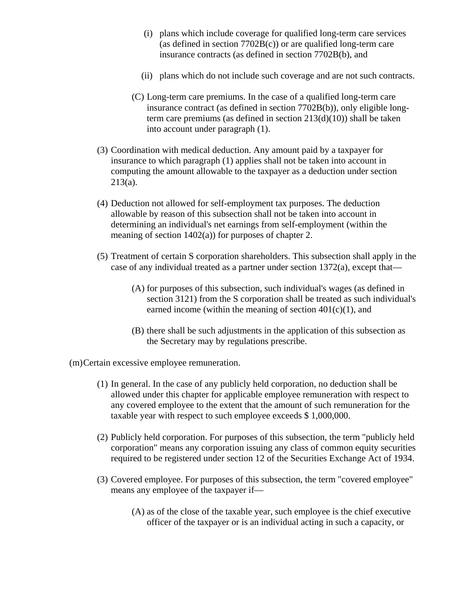- (i) plans which include coverage for qualified long-term care services (as defined in section 7702B(c)) or are qualified long-term care insurance contracts (as defined in section 7702B(b), and
- (ii) plans which do not include such coverage and are not such contracts.
- (C) Long-term care premiums. In the case of a qualified long-term care insurance contract (as defined in section 7702B(b)), only eligible longterm care premiums (as defined in section 213(d)(10)) shall be taken into account under paragraph (1).
- (3) Coordination with medical deduction. Any amount paid by a taxpayer for insurance to which paragraph (1) applies shall not be taken into account in computing the amount allowable to the taxpayer as a deduction under section 213(a).
- (4) Deduction not allowed for self-employment tax purposes. The deduction allowable by reason of this subsection shall not be taken into account in determining an individual's net earnings from self-employment (within the meaning of section 1402(a)) for purposes of chapter 2.
- (5) Treatment of certain S corporation shareholders. This subsection shall apply in the case of any individual treated as a partner under section 1372(a), except that—
	- (A) for purposes of this subsection, such individual's wages (as defined in section 3121) from the S corporation shall be treated as such individual's earned income (within the meaning of section  $401(c)(1)$ , and
	- (B) there shall be such adjustments in the application of this subsection as the Secretary may by regulations prescribe.

(m)Certain excessive employee remuneration.

- (1) In general. In the case of any publicly held corporation, no deduction shall be allowed under this chapter for applicable employee remuneration with respect to any covered employee to the extent that the amount of such remuneration for the taxable year with respect to such employee exceeds \$ 1,000,000.
- (2) Publicly held corporation. For purposes of this subsection, the term "publicly held corporation" means any corporation issuing any class of common equity securities required to be registered under section 12 of the Securities Exchange Act of 1934.
- (3) Covered employee. For purposes of this subsection, the term "covered employee" means any employee of the taxpayer if—
	- (A) as of the close of the taxable year, such employee is the chief executive officer of the taxpayer or is an individual acting in such a capacity, or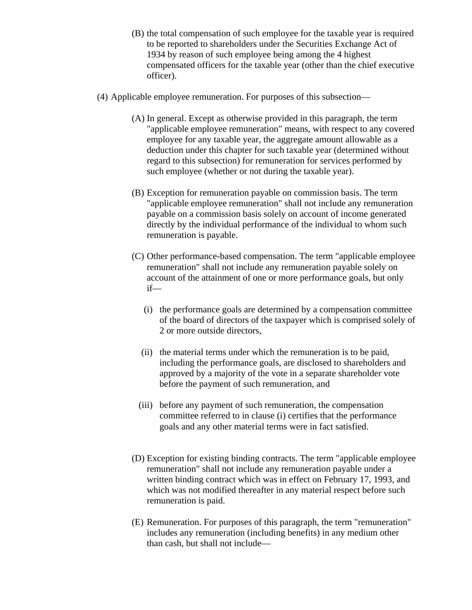- (B) the total compensation of such employee for the taxable year is required to be reported to shareholders under the Securities Exchange Act of 1934 by reason of such employee being among the 4 highest compensated officers for the taxable year (other than the chief executive officer).
- (4) Applicable employee remuneration. For purposes of this subsection—
	- (A) In general. Except as otherwise provided in this paragraph, the term "applicable employee remuneration" means, with respect to any covered employee for any taxable year, the aggregate amount allowable as a deduction under this chapter for such taxable year (determined without regard to this subsection) for remuneration for services performed by such employee (whether or not during the taxable year).
	- (B) Exception for remuneration payable on commission basis. The term "applicable employee remuneration" shall not include any remuneration payable on a commission basis solely on account of income generated directly by the individual performance of the individual to whom such remuneration is payable.
	- (C) Other performance-based compensation. The term "applicable employee remuneration" shall not include any remuneration payable solely on account of the attainment of one or more performance goals, but only if—
		- (i) the performance goals are determined by a compensation committee of the board of directors of the taxpayer which is comprised solely of 2 or more outside directors,
		- (ii) the material terms under which the remuneration is to be paid, including the performance goals, are disclosed to shareholders and approved by a majority of the vote in a separate shareholder vote before the payment of such remuneration, and
		- (iii) before any payment of such remuneration, the compensation committee referred to in clause (i) certifies that the performance goals and any other material terms were in fact satisfied.
	- (D) Exception for existing binding contracts. The term "applicable employee remuneration" shall not include any remuneration payable under a written binding contract which was in effect on February 17, 1993, and which was not modified thereafter in any material respect before such remuneration is paid.
	- (E) Remuneration. For purposes of this paragraph, the term "remuneration" includes any remuneration (including benefits) in any medium other than cash, but shall not include—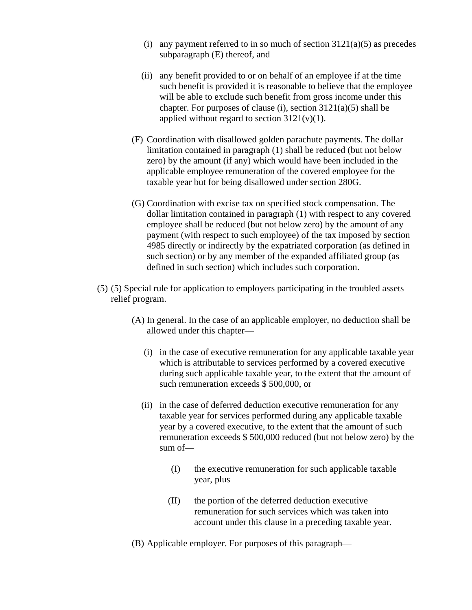- (i) any payment referred to in so much of section  $3121(a)(5)$  as precedes subparagraph (E) thereof, and
- (ii) any benefit provided to or on behalf of an employee if at the time such benefit is provided it is reasonable to believe that the employee will be able to exclude such benefit from gross income under this chapter. For purposes of clause (i), section  $3121(a)(5)$  shall be applied without regard to section  $3121(v)(1)$ .
- (F) Coordination with disallowed golden parachute payments. The dollar limitation contained in paragraph (1) shall be reduced (but not below zero) by the amount (if any) which would have been included in the applicable employee remuneration of the covered employee for the taxable year but for being disallowed under section 280G.
- (G) Coordination with excise tax on specified stock compensation. The dollar limitation contained in paragraph (1) with respect to any covered employee shall be reduced (but not below zero) by the amount of any payment (with respect to such employee) of the tax imposed by section 4985 directly or indirectly by the expatriated corporation (as defined in such section) or by any member of the expanded affiliated group (as defined in such section) which includes such corporation.
- (5) (5) Special rule for application to employers participating in the troubled assets relief program.
	- (A) In general. In the case of an applicable employer, no deduction shall be allowed under this chapter—
		- (i) in the case of executive remuneration for any applicable taxable year which is attributable to services performed by a covered executive during such applicable taxable year, to the extent that the amount of such remuneration exceeds \$ 500,000, or
		- (ii) in the case of deferred deduction executive remuneration for any taxable year for services performed during any applicable taxable year by a covered executive, to the extent that the amount of such remuneration exceeds \$ 500,000 reduced (but not below zero) by the sum of—
			- (I) the executive remuneration for such applicable taxable year, plus
			- (II) the portion of the deferred deduction executive remuneration for such services which was taken into account under this clause in a preceding taxable year.
	- (B) Applicable employer. For purposes of this paragraph—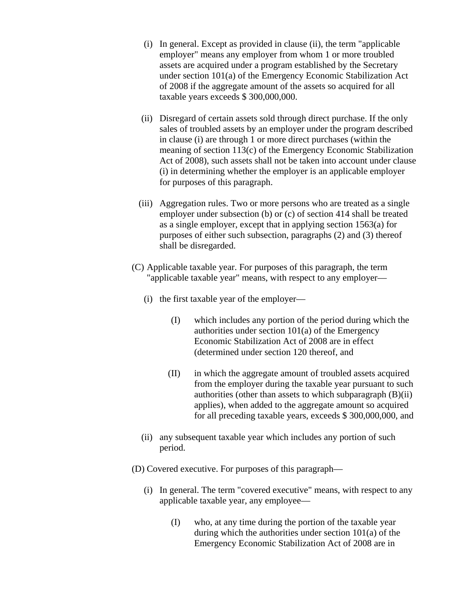- (i) In general. Except as provided in clause (ii), the term "applicable employer" means any employer from whom 1 or more troubled assets are acquired under a program established by the Secretary under section 101(a) of the Emergency Economic Stabilization Act of 2008 if the aggregate amount of the assets so acquired for all taxable years exceeds \$ 300,000,000.
- (ii) Disregard of certain assets sold through direct purchase. If the only sales of troubled assets by an employer under the program described in clause (i) are through 1 or more direct purchases (within the meaning of section 113(c) of the Emergency Economic Stabilization Act of 2008), such assets shall not be taken into account under clause (i) in determining whether the employer is an applicable employer for purposes of this paragraph.
- (iii) Aggregation rules. Two or more persons who are treated as a single employer under subsection (b) or (c) of section 414 shall be treated as a single employer, except that in applying section 1563(a) for purposes of either such subsection, paragraphs (2) and (3) thereof shall be disregarded.
- (C) Applicable taxable year. For purposes of this paragraph, the term "applicable taxable year" means, with respect to any employer—
	- (i) the first taxable year of the employer—
		- (I) which includes any portion of the period during which the authorities under section 101(a) of the Emergency Economic Stabilization Act of 2008 are in effect (determined under section 120 thereof, and
		- (II) in which the aggregate amount of troubled assets acquired from the employer during the taxable year pursuant to such authorities (other than assets to which subparagraph (B)(ii) applies), when added to the aggregate amount so acquired for all preceding taxable years, exceeds \$ 300,000,000, and
	- (ii) any subsequent taxable year which includes any portion of such period.
- (D) Covered executive. For purposes of this paragraph—
	- (i) In general. The term "covered executive" means, with respect to any applicable taxable year, any employee—
		- (I) who, at any time during the portion of the taxable year during which the authorities under section 101(a) of the Emergency Economic Stabilization Act of 2008 are in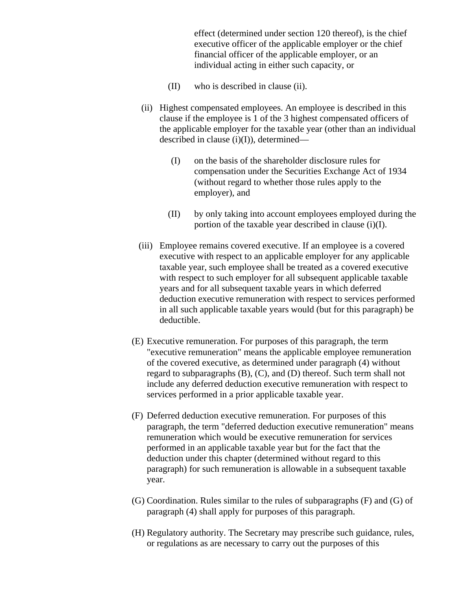effect (determined under section 120 thereof), is the chief executive officer of the applicable employer or the chief financial officer of the applicable employer, or an individual acting in either such capacity, or

- (II) who is described in clause (ii).
- (ii) Highest compensated employees. An employee is described in this clause if the employee is 1 of the 3 highest compensated officers of the applicable employer for the taxable year (other than an individual described in clause (i)(I)), determined—
	- (I) on the basis of the shareholder disclosure rules for compensation under the Securities Exchange Act of 1934 (without regard to whether those rules apply to the employer), and
	- (II) by only taking into account employees employed during the portion of the taxable year described in clause (i)(I).
- (iii) Employee remains covered executive. If an employee is a covered executive with respect to an applicable employer for any applicable taxable year, such employee shall be treated as a covered executive with respect to such employer for all subsequent applicable taxable years and for all subsequent taxable years in which deferred deduction executive remuneration with respect to services performed in all such applicable taxable years would (but for this paragraph) be deductible.
- (E) Executive remuneration. For purposes of this paragraph, the term "executive remuneration" means the applicable employee remuneration of the covered executive, as determined under paragraph (4) without regard to subparagraphs (B), (C), and (D) thereof. Such term shall not include any deferred deduction executive remuneration with respect to services performed in a prior applicable taxable year.
- (F) Deferred deduction executive remuneration. For purposes of this paragraph, the term "deferred deduction executive remuneration" means remuneration which would be executive remuneration for services performed in an applicable taxable year but for the fact that the deduction under this chapter (determined without regard to this paragraph) for such remuneration is allowable in a subsequent taxable year.
- (G) Coordination. Rules similar to the rules of subparagraphs (F) and (G) of paragraph (4) shall apply for purposes of this paragraph.
- (H) Regulatory authority. The Secretary may prescribe such guidance, rules, or regulations as are necessary to carry out the purposes of this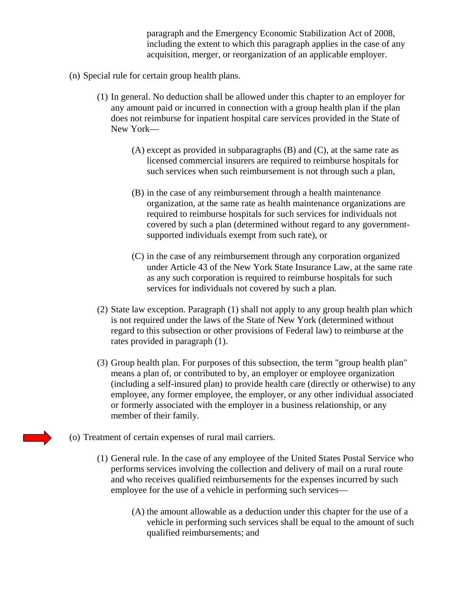paragraph and the Emergency Economic Stabilization Act of 2008, including the extent to which this paragraph applies in the case of any acquisition, merger, or reorganization of an applicable employer.

- (n) Special rule for certain group health plans.
	- (1) In general. No deduction shall be allowed under this chapter to an employer for any amount paid or incurred in connection with a group health plan if the plan does not reimburse for inpatient hospital care services provided in the State of New York—
		- (A) except as provided in subparagraphs (B) and (C), at the same rate as licensed commercial insurers are required to reimburse hospitals for such services when such reimbursement is not through such a plan,
		- (B) in the case of any reimbursement through a health maintenance organization, at the same rate as health maintenance organizations are required to reimburse hospitals for such services for individuals not covered by such a plan (determined without regard to any governmentsupported individuals exempt from such rate), or
		- (C) in the case of any reimbursement through any corporation organized under Article 43 of the New York State Insurance Law, at the same rate as any such corporation is required to reimburse hospitals for such services for individuals not covered by such a plan.
	- (2) State law exception. Paragraph (1) shall not apply to any group health plan which is not required under the laws of the State of New York (determined without regard to this subsection or other provisions of Federal law) to reimburse at the rates provided in paragraph (1).
	- (3) Group health plan. For purposes of this subsection, the term "group health plan" means a plan of, or contributed to by, an employer or employee organization (including a self-insured plan) to provide health care (directly or otherwise) to any employee, any former employee, the employer, or any other individual associated or formerly associated with the employer in a business relationship, or any member of their family.
- (o) Treatment of certain expenses of rural mail carriers.
	- (1) General rule. In the case of any employee of the United States Postal Service who performs services involving the collection and delivery of mail on a rural route and who receives qualified reimbursements for the expenses incurred by such employee for the use of a vehicle in performing such services—
		- (A) the amount allowable as a deduction under this chapter for the use of a vehicle in performing such services shall be equal to the amount of such qualified reimbursements; and